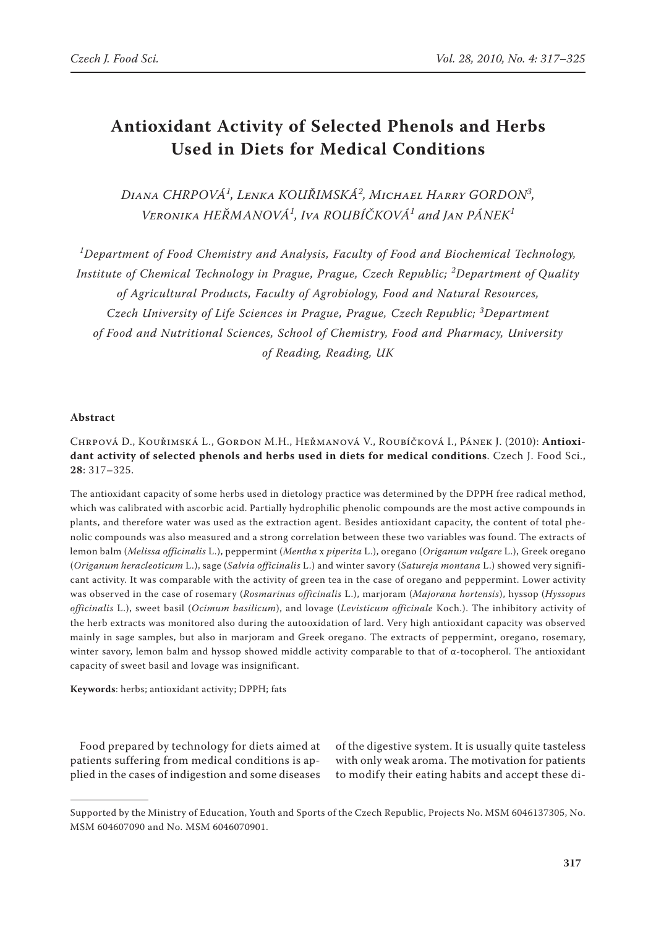# **Antioxidant Activity of Selected Phenols and Herbs Used in Diets for Medical Conditions**

*Diana Chrpová<sup>1</sup> , Lenka Kouřimská<sup>2</sup> , Michael Harry Gordon<sup>3</sup> , Veronika Heřmanová<sup>1</sup> , Iva Roubíčková<sup>1</sup> and Jan Pánek<sup>1</sup>*

*1 Department of Food Chemistry and Analysis, Faculty of Food and Biochemical Technology, Institute of Chemical Technology in Prague, Prague, Czech Republic; <sup>2</sup> Department of Quality of Agricultural Products, Faculty of Agrobiology, Food and Natural Resources, Czech University of Life Sciences in Prague, Prague, Czech Republic; <sup>3</sup> Department of Food and Nutritional Sciences, School of Chemistry, Food and Pharmacy, University of Reading, Reading, UK*

# **Abstract**

Chrpová D., Kouřimská L., Gordon M.H., Heřmanová V., Roubíčková I., Pánek J. (2010): **Antioxidant activity of selected phenols and herbs used in diets for medical conditions**. Czech J. Food Sci., **28**: 317–325.

The antioxidant capacity of some herbs used in dietology practice was determined by the DPPH free radical method, which was calibrated with ascorbic acid. Partially hydrophilic phenolic compounds are the most active compounds in plants, and therefore water was used as the extraction agent. Besides antioxidant capacity, the content of total phenolic compounds was also measured and a strong correlation between these two variables was found. The extracts of lemon balm (*Melissa officinalis* L.), peppermint (*Mentha* x *piperita* L.), oregano (*Origanum vulgare* L.), Greek oregano (*Origanum heracleoticum* L.), sage (*Salvia officinalis* L.) and winter savory (*Satureja montana* L.) showed very significant activity. It was comparable with the activity of green tea in the case of oregano and peppermint. Lower activity was observed in the case of rosemary (*Rosmarinus officinalis* L.), marjoram (*Majorana hortensis*), hyssop (*Hyssopus officinalis* L.), sweet basil (*Ocimum basilicum*), and lovage (*Levisticum officinale* Koch.). The inhibitory activity of the herb extracts was monitored also during the autooxidation of lard. Very high antioxidant capacity was observed mainly in sage samples, but also in marjoram and Greek oregano. The extracts of peppermint, oregano, rosemary, winter savory, lemon balm and hyssop showed middle activity comparable to that of α-tocopherol. The antioxidant capacity of sweet basil and lovage was insignificant.

**Keywords**: herbs; antioxidant activity; DPPH; fats

Food prepared by technology for diets aimed at patients suffering from medical conditions is applied in the cases of indigestion and some diseases of the digestive system. It is usually quite tasteless with only weak aroma. The motivation for patients to modify their eating habits and accept these di-

Supported by the Ministry of Education, Youth and Sports of the Czech Republic, Projects No. MSM 6046137305, No. MSM 604607090 and No. MSM 6046070901.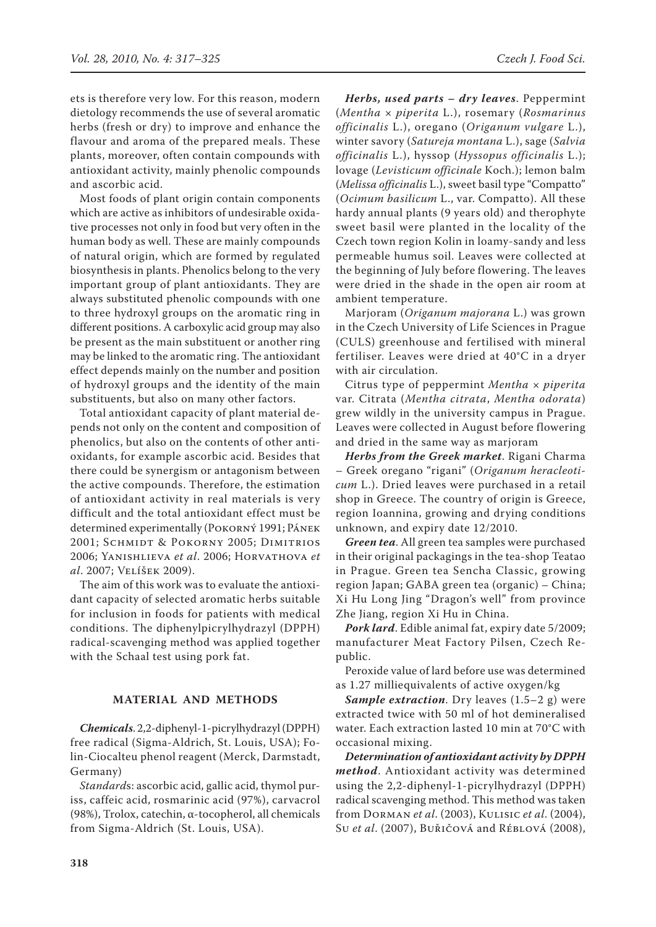ets is therefore very low. For this reason, modern dietology recommends the use of several aromatic herbs (fresh or dry) to improve and enhance the flavour and aroma of the prepared meals. These plants, moreover, often contain compounds with antioxidant activity, mainly phenolic compounds and ascorbic acid.

Most foods of plant origin contain components which are active as inhibitors of undesirable oxidative processes not only in food but very often in the human body as well. These are mainly compounds of natural origin, which are formed by regulated biosynthesis in plants. Phenolics belong to the very important group of plant antioxidants. They are always substituted phenolic compounds with one to three hydroxyl groups on the aromatic ring in different positions. A carboxylic acid group may also be present as the main substituent or another ring may be linked to the aromatic ring. The antioxidant effect depends mainly on the number and position of hydroxyl groups and the identity of the main substituents, but also on many other factors.

Total antioxidant capacity of plant material depends not only on the content and composition of phenolics, but also on the contents of other antioxidants, for example ascorbic acid. Besides that there could be synergism or antagonism between the active compounds. Therefore, the estimation of antioxidant activity in real materials is very difficult and the total antioxidant effect must be determined experimentally (Pokorný 1991; Pánek 2001; Schmidt & Pokorny 2005; Dimitrios 2006; Yanishlieva *et al*. 2006; Horvathova *et al*. 2007; Velíšek 2009).

The aim of this work was to evaluate the antioxidant capacity of selected aromatic herbs suitable for inclusion in foods for patients with medical conditions. The diphenylpicrylhydrazyl (DPPH) radical-scavenging method was applied together with the Schaal test using pork fat.

# **Material and methods**

*Chemicals*. 2,2-diphenyl-1-picrylhydrazyl(DPPH) free radical (Sigma-Aldrich, St. Louis, USA); Folin-Ciocalteu phenol reagent (Merck, Darmstadt, Germany)

*Standard*s: ascorbic acid, gallic acid, thymol puriss, caffeic acid, rosmarinic acid (97%), carvacrol (98%), Trolox, catechin, α-tocopherol, all chemicals from Sigma-Aldrich (St. Louis, USA).

*Herbs, used parts – dry leaves*. Peppermint (*Mentha* × *piperita* L.), rosemary (*Rosmarinus officinalis* L.), oregano (*Origanum vulgare* L.), winter savory (*Satureja montana* L.), sage (*Salvia officinalis* L.), hyssop (*Hyssopus officinalis* L.); lovage (*Levisticum officinale* Koch.); lemon balm (*Melissa officinalis* L.), sweet basil type "Compatto" (*Ocimum basilicum* L., var. Compatto). All these hardy annual plants (9 years old) and therophyte sweet basil were planted in the locality of the Czech town region Kolin in loamy-sandy and less permeable humus soil. Leaves were collected at the beginning of July before flowering. The leaves were dried in the shade in the open air room at ambient temperature.

Marjoram (*Origanum majorana* L.) was grown in the Czech University of Life Sciences in Prague (CULS) greenhouse and fertilised with mineral fertiliser. Leaves were dried at 40°C in a dryer with air circulation.

Citrus type of peppermint *Mentha* × *piperita* var. Citrata (*Mentha citrata*, *Mentha odorata*) grew wildly in the university campus in Prague. Leaves were collected in August before flowering and dried in the same way as marjoram

*Herbs from the Greek market*. Rigani Charma – Greek oregano "rigani" (*Origanum heracleoticum* L.). Dried leaves were purchased in a retail shop in Greece. The country of origin is Greece, region Ioannina, growing and drying conditions unknown, and expiry date 12/2010.

*Green tea*. All green tea samples were purchased in their original packagings in the tea-shop Teatao in Prague. Green tea Sencha Classic, growing region Japan; GABA green tea (organic) – China; Xi Hu Long Jing "Dragon's well" from province Zhe Jiang, region Xi Hu in China.

*Pork lard*. Edible animal fat, expiry date 5/2009; manufacturer Meat Factory Pilsen, Czech Republic.

Peroxide value of lard before use was determined as 1.27 milliequivalents of active oxygen/kg

*Sample extraction*. Dry leaves (1.5–2 g) were extracted twice with 50 ml of hot demineralised water. Each extraction lasted 10 min at 70°C with occasional mixing.

*Determination of antioxidant activity by DPPH method*. Antioxidant activity was determined using the 2,2-diphenyl-1-picrylhydrazyl (DPPH) radical scavenging method. This method was taken from Dorman *et al*. (2003), Kulisic *et al*. (2004), Su *et al*. (2007), Buřičová and Réblová (2008),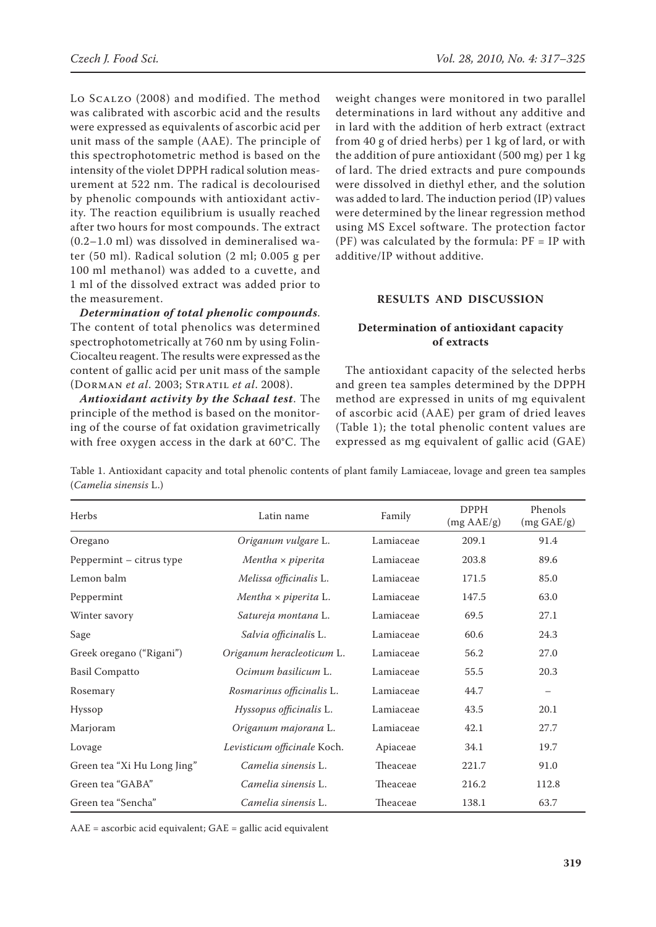Lo Scalzo (2008) and modified. The method was calibrated with ascorbic acid and the results were expressed as equivalents of ascorbic acid per unit mass of the sample (AAE). The principle of this spectrophotometric method is based on the intensity of the violet DPPH radical solution measurement at 522 nm. The radical is decolourised by phenolic compounds with antioxidant activity. The reaction equilibrium is usually reached after two hours for most compounds. The extract (0.2–1.0 ml) was dissolved in demineralised water (50 ml). Radical solution (2 ml; 0.005 g per 100 ml methanol) was added to a cuvette, and 1 ml of the dissolved extract was added prior to the measurement.

*Determination of total phenolic compounds*. The content of total phenolics was determined spectrophotometrically at 760 nm by using Folin-Ciocalteu reagent. The results were expressed asthe content of gallic acid per unit mass of the sample (Dorman *et al*. 2003; Stratil *et al*. 2008).

*Antioxidant activity by the Schaal test*. The principle of the method is based on the monitoring of the course of fat oxidation gravimetrically with free oxygen access in the dark at 60°C. The

weight changes were monitored in two parallel determinations in lard without any additive and in lard with the addition of herb extract (extract from 40 g of dried herbs) per 1 kg of lard, or with the addition of pure antioxidant (500 mg) per 1 kg of lard. The dried extracts and pure compounds were dissolved in diethyl ether, and the solution was added to lard. The induction period (IP) values were determined by the linear regression method using MS Excel software. The protection factor (PF) was calculated by the formula:  $PF = IP$  with additive/IP without additive.

# **Results and discussion**

# **Determination of antioxidant capacity of extracts**

The antioxidant capacity of the selected herbs and green tea samples determined by the DPPH method are expressed in units of mg equivalent of ascorbic acid (AAE) per gram of dried leaves (Table 1); the total phenolic content values are expressed as mg equivalent of gallic acid (GAE)

Table 1. Antioxidant capacity and total phenolic contents of plant family Lamiaceae, lovage and green tea samples (*Camelia sinensis* L.)

| Herbs                       | Latin name                  | Family    | <b>DPPH</b><br>(mg AAE/g) | Phenols<br>$(mg \text{ GAE/g})$ |
|-----------------------------|-----------------------------|-----------|---------------------------|---------------------------------|
| Oregano                     | Origanum vulgare L.         | Lamiaceae | 209.1                     | 91.4                            |
| Peppermint - citrus type    | $Mentha \times piperita$    | Lamiaceae | 203.8                     | 89.6                            |
| Lemon balm                  | Melissa officinalis L.      | Lamiaceae | 171.5                     | 85.0                            |
| Peppermint                  | Mentha $\times$ piperita L. | Lamiaceae | 147.5                     | 63.0                            |
| Winter savory               | Satureja montana L.         | Lamiaceae | 69.5                      | 27.1                            |
| Sage                        | Salvia officinalis L.       | Lamiaceae | 60.6                      | 24.3                            |
| Greek oregano ("Rigani")    | Origanum heracleoticum L.   | Lamiaceae | 56.2                      | 27.0                            |
| <b>Basil Compatto</b>       | Ocimum basilicum L.         | Lamiaceae | 55.5                      | 20.3                            |
| Rosemary                    | Rosmarinus officinalis L.   | Lamiaceae | 44.7                      | $\qquad \qquad -$               |
| Hyssop                      | Hyssopus officinalis L.     | Lamiaceae | 43.5                      | 20.1                            |
| Marjoram                    | Origanum majorana L.        | Lamiaceae | 42.1                      | 27.7                            |
| Lovage                      | Levisticum officinale Koch. | Apiaceae  | 34.1                      | 19.7                            |
| Green tea "Xi Hu Long Jing" | Camelia sinensis L.         | Theaceae  | 221.7                     | 91.0                            |
| Green tea "GABA"            | Camelia sinensis L.         | Theaceae  | 216.2                     | 112.8                           |
| Green tea "Sencha"          | Camelia sinensis L.         | Theaceae  | 138.1                     | 63.7                            |

AAE = ascorbic acid equivalent; GAE = gallic acid equivalent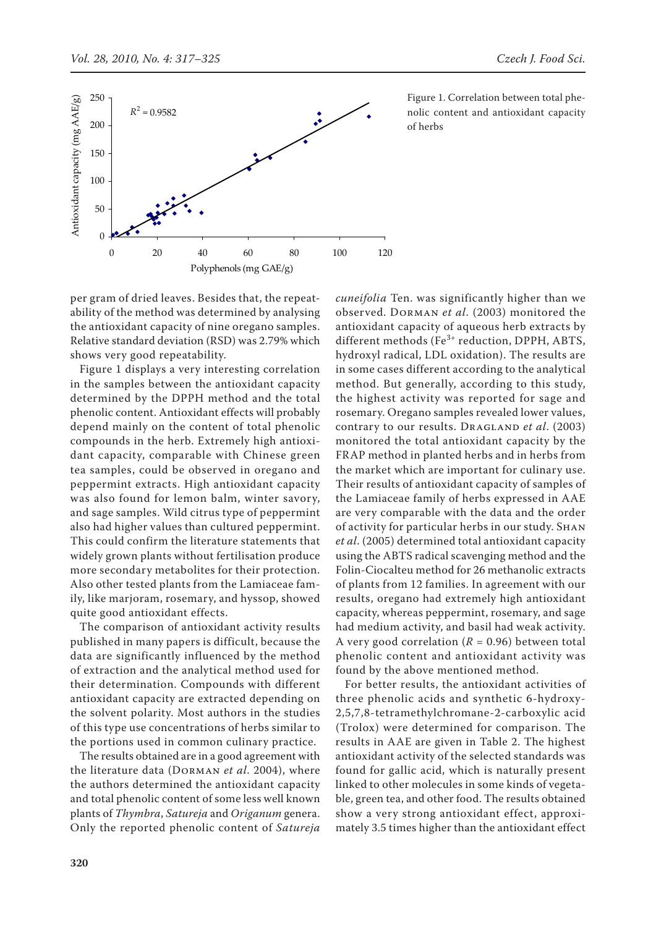

Figure 1. Correlation between total phenolic content and antioxidant capacity of herbs

per gram of dried leaves. Besides that, the repeatability of the method was determined by analysing the antioxidant capacity of nine oregano samples. Relative standard deviation (RSD) was 2.79% which shows very good repeatability.

Figure 1 displays a very interesting correlation in the samples between the antioxidant capacity determined by the DPPH method and the total phenolic content. Antioxidant effects will probably depend mainly on the content of total phenolic compounds in the herb. Extremely high antioxidant capacity, comparable with Chinese green tea samples, could be observed in oregano and peppermint extracts. High antioxidant capacity was also found for lemon balm, winter savory, and sage samples. Wild citrus type of peppermint also had higher values than cultured peppermint. This could confirm the literature statements that widely grown plants without fertilisation produce more secondary metabolites for their protection. Also other tested plants from the Lamiaceae family, like marjoram, rosemary, and hyssop, showed quite good antioxidant effects.

The comparison of antioxidant activity results published in many papers is difficult, because the data are significantly influenced by the method of extraction and the analytical method used for their determination. Compounds with different antioxidant capacity are extracted depending on the solvent polarity. Most authors in the studies of this type use concentrations of herbs similar to the portions used in common culinary practice.

The results obtained are in a good agreement with the literature data (Dorman *et al*. 2004), where the authors determined the antioxidant capacity and total phenolic content of some less well known plants of *Thymbra*, *Satureja* and *Origanum* genera. Only the reported phenolic content of *Satureja*  *cuneifolia* Ten. was significantly higher than we observed. Dorman *et al*. (2003) monitored the antioxidant capacity of aqueous herb extracts by different methods (Fe<sup>3+</sup> reduction, DPPH, ABTS, hydroxyl radical, LDL oxidation). The results are in some cases different according to the analytical method. But generally, according to this study, the highest activity was reported for sage and rosemary. Oregano samples revealed lower values, contrary to our results. Dragland *et al*. (2003) monitored the total antioxidant capacity by the FRAP method in planted herbs and in herbs from the market which are important for culinary use. Their results of antioxidant capacity of samples of the Lamiaceae family of herbs expressed in AAE are very comparable with the data and the order of activity for particular herbs in our study. Shan *et al*. (2005) determined total antioxidant capacity using the ABTS radical scavenging method and the Folin-Ciocalteu method for 26 methanolic extracts of plants from 12 families. In agreement with our results, oregano had extremely high antioxidant capacity, whereas peppermint, rosemary, and sage had medium activity, and basil had weak activity. A very good correlation  $(R = 0.96)$  between total phenolic content and antioxidant activity was found by the above mentioned method.

For better results, the antioxidant activities of three phenolic acids and synthetic 6-hydroxy-2,5,7,8-tetramethylchromane-2-carboxylic acid (Trolox) were determined for comparison. The results in AAE are given in Table 2. The highest antioxidant activity of the selected standards was found for gallic acid, which is naturally present linked to other molecules in some kinds of vegetable, green tea, and other food. The results obtained show a very strong antioxidant effect, approximately 3.5 times higher than the antioxidant effect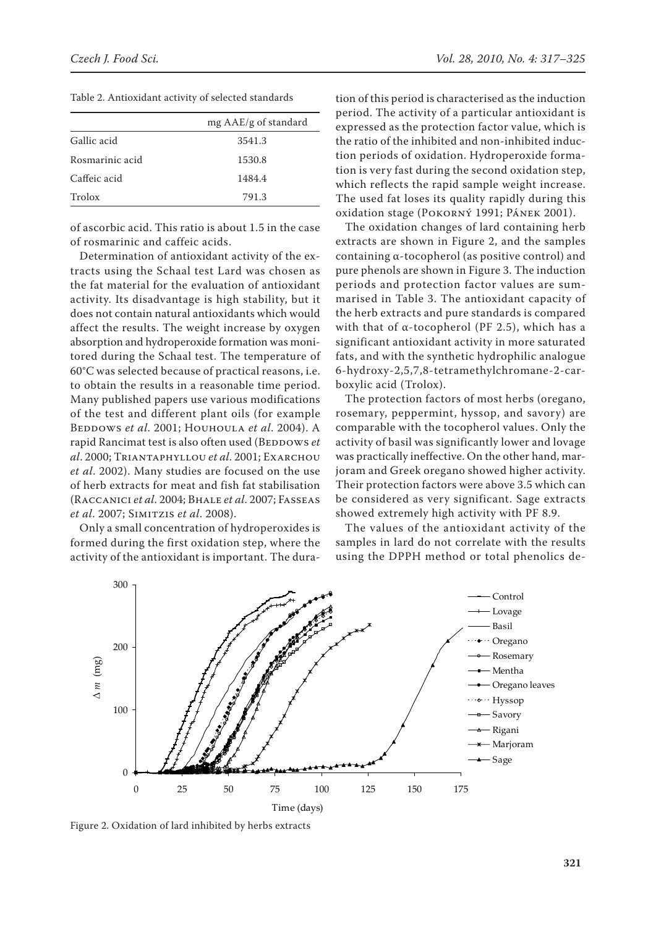|  |  |  |  |  | Table 2. Antioxidant activity of selected standards |  |  |  |  |  |  |
|--|--|--|--|--|-----------------------------------------------------|--|--|--|--|--|--|
|--|--|--|--|--|-----------------------------------------------------|--|--|--|--|--|--|

|                 | mg AAE/g of standard |
|-----------------|----------------------|
| Gallic acid     | 3541.3               |
| Rosmarinic acid | 1530.8               |
| Caffeic acid    | 1484.4               |
| Trolox          | 791.3                |

of ascorbic acid. This ratio is about 1.5 in the case of rosmarinic and caffeic acids.

Determination of antioxidant activity of the extracts using the Schaal test Lard was chosen as the fat material for the evaluation of antioxidant activity. Its disadvantage is high stability, but it does not contain natural antioxidants which would affect the results. The weight increase by oxygen absorption and hydroperoxide formation was monitored during the Schaal test. The temperature of 60°C was selected because of practical reasons, i.e. to obtain the results in a reasonable time period. Many published papers use various modifications of the test and different plant oils (for example BEDDOWS *et al.* 2001; HOUHOULA *et al.* 2004). A rapid Rancimat test is also often used (BEDDOWS et *al*. 2000; Triantaphyllou *et al*. 2001; Exarchou *et al*. 2002). Many studies are focused on the use of herb extracts for meat and fish fat stabilisation (Raccanici *et al*. 2004; Bhale *et al*. 2007; Fasseas *et al*. 2007; Simitzis *et al*. 2008).

Only a small concentration of hydroperoxides is formed during the first oxidation step, where the activity of the antioxidant is important. The dura-

tion of this period is characterised as the induction period. The activity of a particular antioxidant is expressed as the protection factor value, which is the ratio of the inhibited and non-inhibited induction periods of oxidation. Hydroperoxide formation is very fast during the second oxidation step, which reflects the rapid sample weight increase. The used fat loses its quality rapidly during this oxidation stage (Pokorný 1991; Pánek 2001).

The oxidation changes of lard containing herb extracts are shown in Figure 2, and the samples containing α-tocopherol (as positive control) and pure phenols are shown in Figure 3. The induction periods and protection factor values are summarised in Table 3. The antioxidant capacity of the herb extracts and pure standards is compared with that of  $\alpha$ -tocopherol (PF 2.5), which has a significant antioxidant activity in more saturated fats, and with the synthetic hydrophilic analogue 6-hydroxy-2,5,7,8-tetramethylchromane-2-carboxylic acid (Trolox).

The protection factors of most herbs (oregano, rosemary, peppermint, hyssop, and savory) are comparable with the tocopherol values. Only the activity of basil was significantly lower and lovage was practically ineffective. On the other hand, marjoram and Greek oregano showed higher activity. Their protection factors were above 3.5 which can be considered as very significant. Sage extracts showed extremely high activity with PF 8.9.

The values of the antioxidant activity of the samples in lard do not correlate with the results using the DPPH method or total phenolics de-



Figure 2. Oxidation of lard inhibited by herbs extracts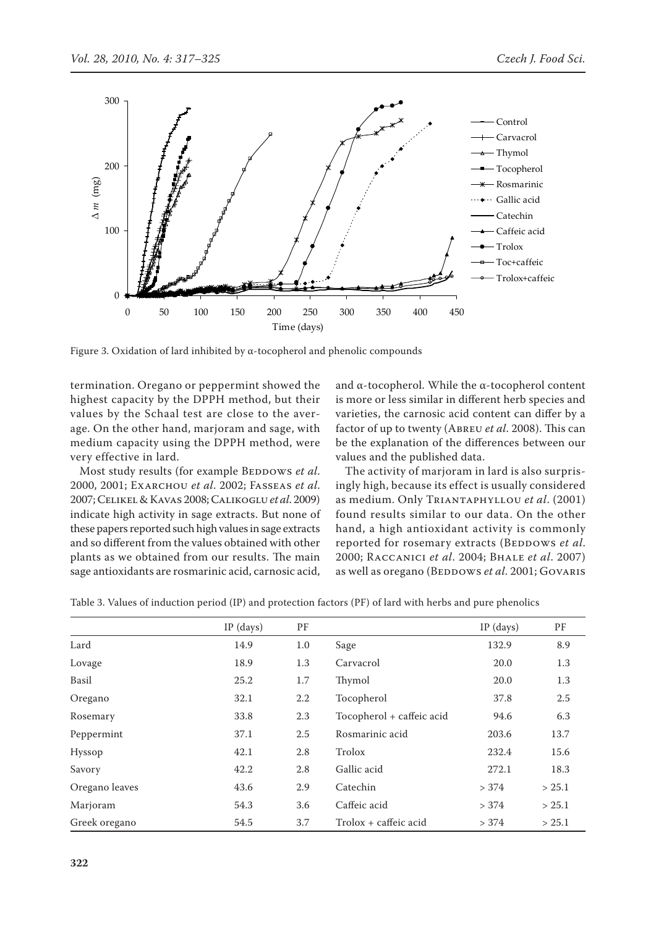

Figure 3. Oxidation of lard inhibited by α-tocopherol and phenolic compounds

termination. Oregano or peppermint showed the highest capacity by the DPPH method, but their values by the Schaal test are close to the average. On the other hand, marjoram and sage, with medium capacity using the DPPH method, were very effective in lard.

Most study results (for example BEDDOWS *et al.* 2000, 2001; Exarchou *et al*. 2002; Fasseas *et al*. 2007;Celikel & Kavas 2008;Calikoglu *et al*. 2009) indicate high activity in sage extracts. But none of these papers reported such high values in sage extracts and so different from the values obtained with other plants as we obtained from our results. The main sage antioxidants are rosmarinic acid, carnosic acid,

and α-tocopherol. While the α-tocopherol content is more or less similar in different herb species and varieties, the carnosic acid content can differ by a factor of up to twenty (Abreu *et al*. 2008). This can be the explanation of the differences between our values and the published data.

The activity of marjoram in lard is also surprisingly high, because its effect is usually considered as medium. Only Triantaphyllou *et al*. (2001) found results similar to our data. On the other hand, a high antioxidant activity is commonly reported for rosemary extracts (BEDDOWS *et al.* 2000; Raccanici *et al*. 2004; Bhale *et al*. 2007) as well as oregano (BEDDOWS et al. 2001; GOVARIS

|  |  | Table 3. Values of induction period (IP) and protection factors (PF) of lard with herbs and pure phenolics |  |  |  |  |  |  |  |  |  |  |  |  |
|--|--|------------------------------------------------------------------------------------------------------------|--|--|--|--|--|--|--|--|--|--|--|--|
|--|--|------------------------------------------------------------------------------------------------------------|--|--|--|--|--|--|--|--|--|--|--|--|

|                | $IP$ (days) | PF  |                           | $IP$ (days) | PF     |
|----------------|-------------|-----|---------------------------|-------------|--------|
| Lard           | 14.9        | 1.0 | Sage                      | 132.9       | 8.9    |
| Lovage         | 18.9        | 1.3 | Carvacrol                 | 20.0        | 1.3    |
| Basil          | 25.2        | 1.7 | Thymol                    | 20.0        | 1.3    |
| Oregano        | 32.1        | 2.2 | Tocopherol                | 37.8        | 2.5    |
| Rosemary       | 33.8        | 2.3 | Tocopherol + caffeic acid | 94.6        | 6.3    |
| Peppermint     | 37.1        | 2.5 | Rosmarinic acid           | 203.6       | 13.7   |
| Hyssop         | 42.1        | 2.8 | Trolox                    | 232.4       | 15.6   |
| Savory         | 42.2        | 2.8 | Gallic acid               | 272.1       | 18.3   |
| Oregano leaves | 43.6        | 2.9 | Catechin                  | >374        | > 25.1 |
| Marjoram       | 54.3        | 3.6 | Caffeic acid              | >374        | > 25.1 |
| Greek oregano  | 54.5        | 3.7 | Trolox + caffeic acid     | >374        | > 25.1 |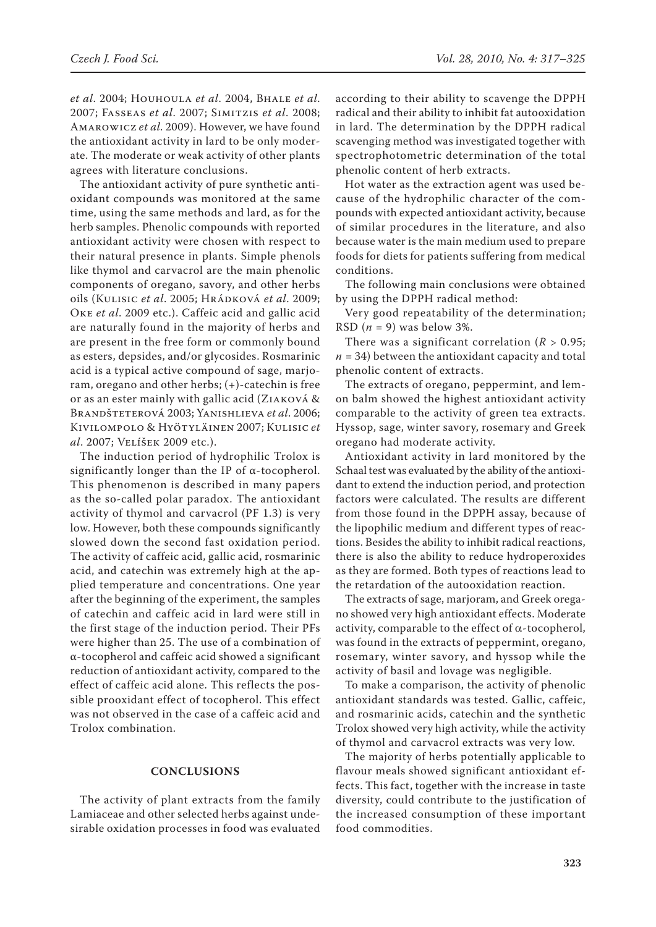*et al*. 2004; Houhoula *et al*. 2004, Bhale *et al*. 2007; Fasseas *et al*. 2007; Simitzis *et al*. 2008; Amarowicz *et al*. 2009). However, we have found the antioxidant activity in lard to be only moderate. The moderate or weak activity of other plants agrees with literature conclusions.

The antioxidant activity of pure synthetic antioxidant compounds was monitored at the same time, using the same methods and lard, as for the herb samples. Phenolic compounds with reported antioxidant activity were chosen with respect to their natural presence in plants. Simple phenols like thymol and carvacrol are the main phenolic components of oregano, savory, and other herbs oils (Kulisic *et al*. 2005; Hrádková *et al*. 2009; Oke *et al*. 2009 etc.). Caffeic acid and gallic acid are naturally found in the majority of herbs and are present in the free form or commonly bound as esters, depsides, and/or glycosides. Rosmarinic acid is a typical active compound of sage, marjoram, oregano and other herbs; (+)-catechin is free or as an ester mainly with gallic acid (Ziaková & Brandšteterová 2003; Yanishlieva *et al*. 2006; Kivilompolo & Hyötyläinen 2007; Kulisic *et al*. 2007; Velíšek 2009 etc.).

The induction period of hydrophilic Trolox is significantly longer than the IP of α-tocopherol. This phenomenon is described in many papers as the so-called polar paradox. The antioxidant activity of thymol and carvacrol (PF 1.3) is very low. However, both these compounds significantly slowed down the second fast oxidation period. The activity of caffeic acid, gallic acid, rosmarinic acid, and catechin was extremely high at the applied temperature and concentrations. One year after the beginning of the experiment, the samples of catechin and caffeic acid in lard were still in the first stage of the induction period. Their PFs were higher than 25. The use of a combination of α-tocopherol and caffeic acid showed a significant reduction of antioxidant activity, compared to the effect of caffeic acid alone. This reflects the possible prooxidant effect of tocopherol. This effect was not observed in the case of a caffeic acid and Trolox combination.

# **ConclusionS**

The activity of plant extracts from the family Lamiaceae and other selected herbs against undesirable oxidation processes in food was evaluated

according to their ability to scavenge the DPPH radical and their ability to inhibit fat autooxidation in lard. The determination by the DPPH radical scavenging method was investigated together with spectrophotometric determination of the total phenolic content of herb extracts.

Hot water as the extraction agent was used because of the hydrophilic character of the compounds with expected antioxidant activity, because of similar procedures in the literature, and also because water is the main medium used to prepare foods for diets for patients suffering from medical conditions.

The following main conclusions were obtained by using the DPPH radical method:

Very good repeatability of the determination; RSD  $(n = 9)$  was below 3%.

There was a significant correlation  $(R > 0.95)$ ;  $n = 34$ ) between the antioxidant capacity and total phenolic content of extracts.

The extracts of oregano, peppermint, and lemon balm showed the highest antioxidant activity comparable to the activity of green tea extracts. Hyssop, sage, winter savory, rosemary and Greek oregano had moderate activity.

Antioxidant activity in lard monitored by the Schaal test was evaluated by the ability of the antioxidant to extend the induction period, and protection factors were calculated. The results are different from those found in the DPPH assay, because of the lipophilic medium and different types of reactions. Besides the ability to inhibit radical reactions, there is also the ability to reduce hydroperoxides as they are formed. Both types of reactions lead to the retardation of the autooxidation reaction.

The extracts of sage, marjoram, and Greek oregano showed very high antioxidant effects. Moderate activity, comparable to the effect of  $\alpha$ -tocopherol, was found in the extracts of peppermint, oregano, rosemary, winter savory, and hyssop while the activity of basil and lovage was negligible.

To make a comparison, the activity of phenolic antioxidant standards was tested. Gallic, caffeic, and rosmarinic acids, catechin and the synthetic Trolox showed very high activity, while the activity of thymol and carvacrol extracts was very low.

The majority of herbs potentially applicable to flavour meals showed significant antioxidant effects. This fact, together with the increase in taste diversity, could contribute to the justification of the increased consumption of these important food commodities.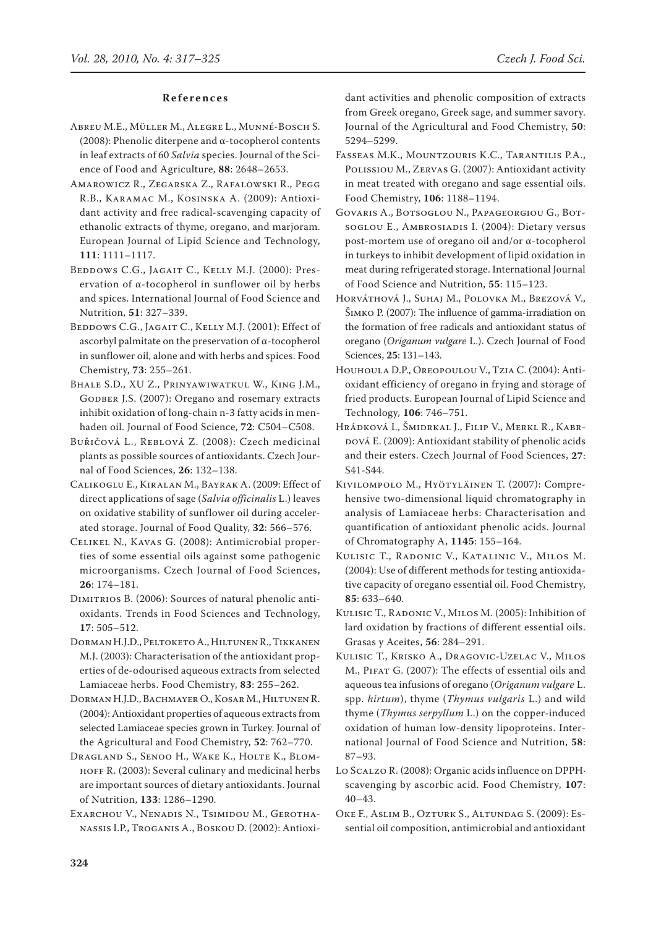# References

- Abreu M.E., Müller M., Alegre L., Munné-Bosch S. (2008): Phenolic diterpene and α-tocopherol contents in leaf extracts of 60 *Salvia* species. Journal of the Science of Food and Agriculture, **88**: 2648–2653.
- Amarowicz R., Zegarska Z., Rafalowski R., Pegg R.B., Karamac M., Kosinska A. (2009): Antioxidant activity and free radical-scavenging capacity of ethanolic extracts of thyme, oregano, and marjoram. European Journal of Lipid Science and Technology, **111**: 1111–1117.
- BEDDOWS C.G., JAGAIT C., KELLY M.J. (2000): Preservation of α-tocopherol in sunflower oil by herbs and spices. International Journal of Food Science and Nutrition, **51**: 327–339.
- BEDDOWS C.G., JAGAIT C., KELLY M.J. (2001): Effect of ascorbyl palmitate on the preservation of α-tocopherol in sunflower oil, alone and with herbs and spices. Food Chemistry, **73**: 255–261.
- Bhale S.D., XU Z., Prinyawiwatkul W., King J.M., GODBER J.S. (2007): Oregano and rosemary extracts inhibit oxidation of long-chain n-3 fatty acids in menhaden oil. Journal of Food Science, **72**: C504–C508.
- Buřičová L., Reblová Z. (2008): Czech medicinal plants as possible sources of antioxidants. Czech Journal of Food Sciences, **26**: 132–138.
- Calikoglu E., Kiralan M., Bayrak A. (2009: Effect of direct applications of sage (*Salvia officinalis* L.) leaves on oxidative stability of sunflower oil during accelerated storage. Journal of Food Quality, **32**: 566–576.
- Celikel N., Kavas G. (2008): Antimicrobial properties of some essential oils against some pathogenic microorganisms. Czech Journal of Food Sciences, **26**: 174–181.
- Dimitrios B. (2006): Sources of natural phenolic antioxidants. Trends in Food Sciences and Technology, **17**: 505–512.
- DORMAN H.J.D., PELTOKETO A., HILTUNEN R., TIKKANEN M.J. (2003): Characterisation of the antioxidant properties of de-odourised aqueous extracts from selected Lamiaceae herbs. Food Chemistry, **83**: 255–262.
- DORMAN H.J.D., BACHMAYER O., KOSAR M., HILTUNEN R. (2004): Antioxidant properties of aqueous extracts from selected Lamiaceae species grown in Turkey. Journal of the Agricultural and Food Chemistry, **52**: 762–770.
- Dragland S., Senoo H., Wake K., Holte K., Blom-HOFF R. (2003): Several culinary and medicinal herbs are important sources of dietary antioxidants. Journal of Nutrition, **133**: 1286–1290.
- Exarchou V., Nenadis N., Tsimidou M., Gerothanassis I.P., Troganis A., Boskou D. (2002): Antioxi-

dant activities and phenolic composition of extracts from Greek oregano, Greek sage, and summer savory. Journal of the Agricultural and Food Chemistry, **50**: 5294–5299.

- Fasseas M.K., Mountzouris K.C., Tarantilis P.A., Polissiou M., Zervas G. (2007): Antioxidant activity in meat treated with oregano and sage essential oils. Food Chemistry, **106**: 1188–1194.
- Govaris A., Botsoglou N., Papageorgiou G., Botsoglou E., Ambrosiadis I. (2004): Dietary versus post-mortem use of oregano oil and/or α-tocopherol in turkeys to inhibit development of lipid oxidation in meat during refrigerated storage. International Journal of Food Science and Nutrition, **55**: 115–123.
- Horváthová J., Suhaj M., Polovka M., Brezová V., Šimko P. (2007): The influence of gamma-irradiation on the formation of free radicals and antioxidant status of oregano (*Origanum vulgare* L.). Czech Journal of Food Sciences, **25**: 131–143.
- Houhoula D.P., Oreopoulou V., Tzia C. (2004): Antioxidant efficiency of oregano in frying and storage of fried products. European Journal of Lipid Science and Technology, **106**: 746–751.
- Hrádková I., Šmidrkal J., Filip V., Merkl R., Kabrdová E. (2009): Antioxidant stability of phenolic acids and their esters. Czech Journal of Food Sciences, **27**: S41-S44.
- Kivilompolo M., Hyötyläinen T. (2007): Comprehensive two-dimensional liquid chromatography in analysis of Lamiaceae herbs: Characterisation and quantification of antioxidant phenolic acids. Journal of Chromatography A, **1145**: 155–164.
- Kulisic T., Radonic V., Katalinic V., Milos M. (2004): Use of different methods for testing antioxidative capacity of oregano essential oil. Food Chemistry, **85**: 633–640.
- Kulisic T., Radonic V., Milos M. (2005): Inhibition of lard oxidation by fractions of different essential oils. Grasas y Aceites, **56**: 284–291.
- Kulisic T., Krisko A., Dragovic-Uzelac V., Milos M., PIFAT G. (2007): The effects of essential oils and aqueous tea infusions of oregano (*Origanum vulgare* L. spp. *hirtum*), thyme (*Thymus vulgaris* L.) and wild thyme (*Thymus serpyllum* L.) on the copper-induced oxidation of human low-density lipoproteins. International Journal of Food Science and Nutrition, **58**: 87–93.
- Lo Scalzo R. (2008): Organic acids influence on DPPH∙ scavenging by ascorbic acid. Food Chemistry, **107**: 40–43.
- Oke F., Aslim B., Ozturk S., Altundag S. (2009): Essential oil composition, antimicrobial and antioxidant